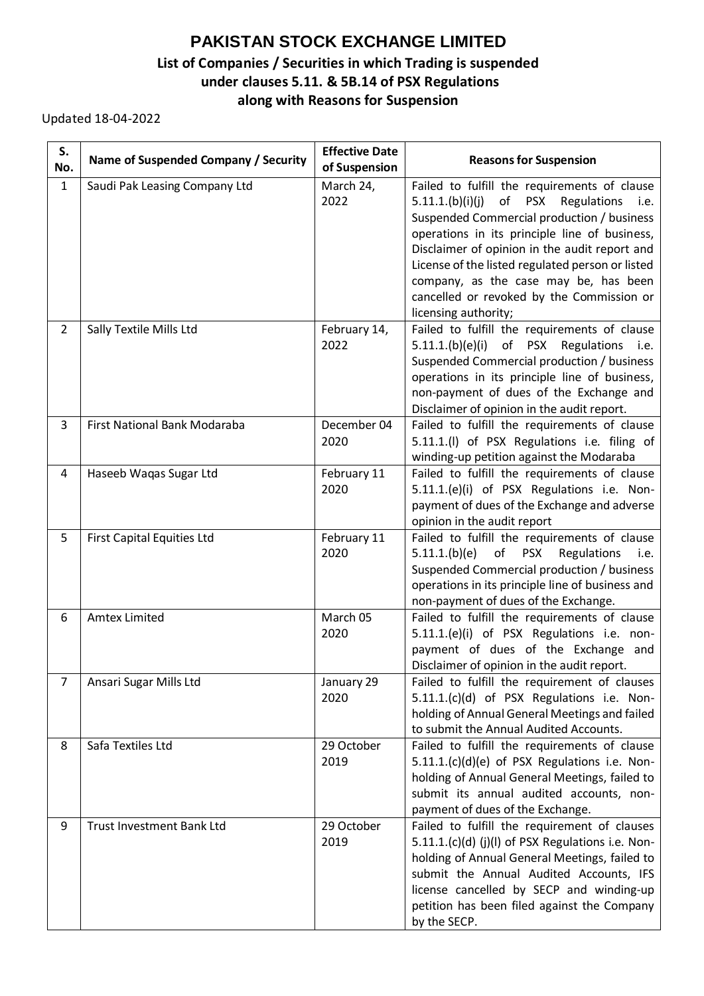## **PAKISTAN STOCK EXCHANGE LIMITED List of Companies / Securities in which Trading is suspended under clauses 5.11. & 5B.14 of PSX Regulations along with Reasons for Suspension**

Updated 18-04-2022

| S.<br>No.      | Name of Suspended Company / Security | <b>Effective Date</b><br>of Suspension | <b>Reasons for Suspension</b>                                                                                                                                                                                                                                                                                                                                                                                                 |
|----------------|--------------------------------------|----------------------------------------|-------------------------------------------------------------------------------------------------------------------------------------------------------------------------------------------------------------------------------------------------------------------------------------------------------------------------------------------------------------------------------------------------------------------------------|
| $\mathbf{1}$   | Saudi Pak Leasing Company Ltd        | March 24,<br>2022                      | Failed to fulfill the requirements of clause<br>of<br>5.11.1.(b)(i)(j)<br><b>PSX</b><br>Regulations<br>i.e.<br>Suspended Commercial production / business<br>operations in its principle line of business,<br>Disclaimer of opinion in the audit report and<br>License of the listed regulated person or listed<br>company, as the case may be, has been<br>cancelled or revoked by the Commission or<br>licensing authority; |
| $\overline{2}$ | Sally Textile Mills Ltd              | February 14,<br>2022                   | Failed to fulfill the requirements of clause<br>5.11.1.(b)(e)(i) of PSX Regulations i.e.<br>Suspended Commercial production / business<br>operations in its principle line of business,<br>non-payment of dues of the Exchange and<br>Disclaimer of opinion in the audit report.                                                                                                                                              |
| 3              | First National Bank Modaraba         | December 04<br>2020                    | Failed to fulfill the requirements of clause<br>5.11.1.(I) of PSX Regulations i.e. filing of<br>winding-up petition against the Modaraba                                                                                                                                                                                                                                                                                      |
| 4              | Haseeb Waqas Sugar Ltd               | February 11<br>2020                    | Failed to fulfill the requirements of clause<br>5.11.1.(e)(i) of PSX Regulations i.e. Non-<br>payment of dues of the Exchange and adverse<br>opinion in the audit report                                                                                                                                                                                                                                                      |
| 5              | <b>First Capital Equities Ltd</b>    | February 11<br>2020                    | Failed to fulfill the requirements of clause<br>5.11.1(b)(e)<br>of<br><b>PSX</b><br>Regulations<br>i.e.<br>Suspended Commercial production / business<br>operations in its principle line of business and<br>non-payment of dues of the Exchange.                                                                                                                                                                             |
| 6              | <b>Amtex Limited</b>                 | March 05<br>2020                       | Failed to fulfill the requirements of clause<br>5.11.1.(e)(i) of PSX Regulations i.e. non-<br>payment of dues of the Exchange and<br>Disclaimer of opinion in the audit report.                                                                                                                                                                                                                                               |
| 7              | Ansari Sugar Mills Ltd               | January 29<br>2020                     | Failed to fulfill the requirement of clauses<br>5.11.1.(c)(d) of PSX Regulations i.e. Non-<br>holding of Annual General Meetings and failed<br>to submit the Annual Audited Accounts.                                                                                                                                                                                                                                         |
| 8              | Safa Textiles Ltd                    | 29 October<br>2019                     | Failed to fulfill the requirements of clause<br>5.11.1.(c)(d)(e) of PSX Regulations i.e. Non-<br>holding of Annual General Meetings, failed to<br>submit its annual audited accounts, non-<br>payment of dues of the Exchange.                                                                                                                                                                                                |
| 9              | <b>Trust Investment Bank Ltd</b>     | 29 October<br>2019                     | Failed to fulfill the requirement of clauses<br>5.11.1.(c)(d) (j)(l) of PSX Regulations i.e. Non-<br>holding of Annual General Meetings, failed to<br>submit the Annual Audited Accounts, IFS<br>license cancelled by SECP and winding-up<br>petition has been filed against the Company<br>by the SECP.                                                                                                                      |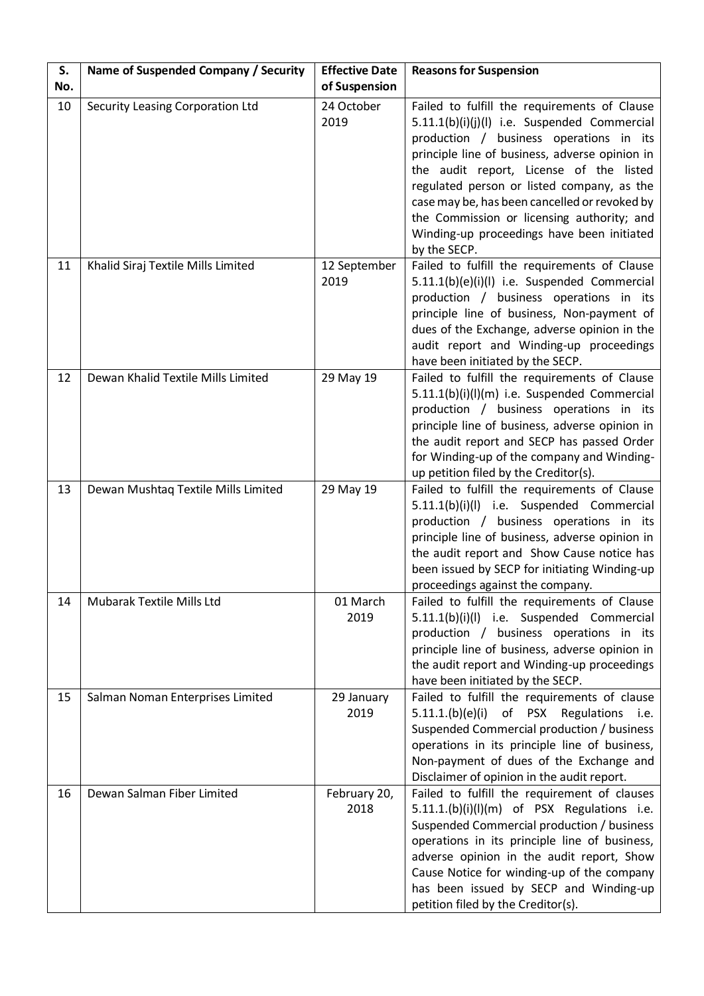| S.<br>No. | Name of Suspended Company / Security | <b>Effective Date</b><br>of Suspension | <b>Reasons for Suspension</b>                                                                                                                                                                                                                                                                                                                                                                                                                   |
|-----------|--------------------------------------|----------------------------------------|-------------------------------------------------------------------------------------------------------------------------------------------------------------------------------------------------------------------------------------------------------------------------------------------------------------------------------------------------------------------------------------------------------------------------------------------------|
| 10        | Security Leasing Corporation Ltd     | 24 October<br>2019                     | Failed to fulfill the requirements of Clause<br>5.11.1(b)(i)(j)(l) i.e. Suspended Commercial<br>production / business operations in its<br>principle line of business, adverse opinion in<br>the audit report, License of the listed<br>regulated person or listed company, as the<br>case may be, has been cancelled or revoked by<br>the Commission or licensing authority; and<br>Winding-up proceedings have been initiated<br>by the SECP. |
| 11        | Khalid Siraj Textile Mills Limited   | 12 September<br>2019                   | Failed to fulfill the requirements of Clause<br>5.11.1(b)(e)(i)(l) i.e. Suspended Commercial<br>production / business operations in its<br>principle line of business, Non-payment of<br>dues of the Exchange, adverse opinion in the<br>audit report and Winding-up proceedings<br>have been initiated by the SECP.                                                                                                                            |
| 12        | Dewan Khalid Textile Mills Limited   | 29 May 19                              | Failed to fulfill the requirements of Clause<br>5.11.1(b)(i)(l)(m) i.e. Suspended Commercial<br>production / business operations in its<br>principle line of business, adverse opinion in<br>the audit report and SECP has passed Order<br>for Winding-up of the company and Winding-<br>up petition filed by the Creditor(s).                                                                                                                  |
| 13        | Dewan Mushtaq Textile Mills Limited  | 29 May 19                              | Failed to fulfill the requirements of Clause<br>5.11.1(b)(i)(l) i.e. Suspended Commercial<br>production / business operations in its<br>principle line of business, adverse opinion in<br>the audit report and Show Cause notice has<br>been issued by SECP for initiating Winding-up<br>proceedings against the company.                                                                                                                       |
| 14        | Mubarak Textile Mills Ltd            | 01 March<br>2019                       | Failed to fulfill the requirements of Clause<br>5.11.1(b)(i)(l) i.e. Suspended Commercial<br>production / business operations in its<br>principle line of business, adverse opinion in<br>the audit report and Winding-up proceedings<br>have been initiated by the SECP.                                                                                                                                                                       |
| 15        | Salman Noman Enterprises Limited     | 29 January<br>2019                     | Failed to fulfill the requirements of clause<br>of PSX Regulations i.e.<br>5.11.1(b)(e)(i)<br>Suspended Commercial production / business<br>operations in its principle line of business,<br>Non-payment of dues of the Exchange and<br>Disclaimer of opinion in the audit report.                                                                                                                                                              |
| 16        | Dewan Salman Fiber Limited           | February 20,<br>2018                   | Failed to fulfill the requirement of clauses<br>5.11.1.(b)(i)(l)(m) of PSX Regulations i.e.<br>Suspended Commercial production / business<br>operations in its principle line of business,<br>adverse opinion in the audit report, Show<br>Cause Notice for winding-up of the company<br>has been issued by SECP and Winding-up<br>petition filed by the Creditor(s).                                                                           |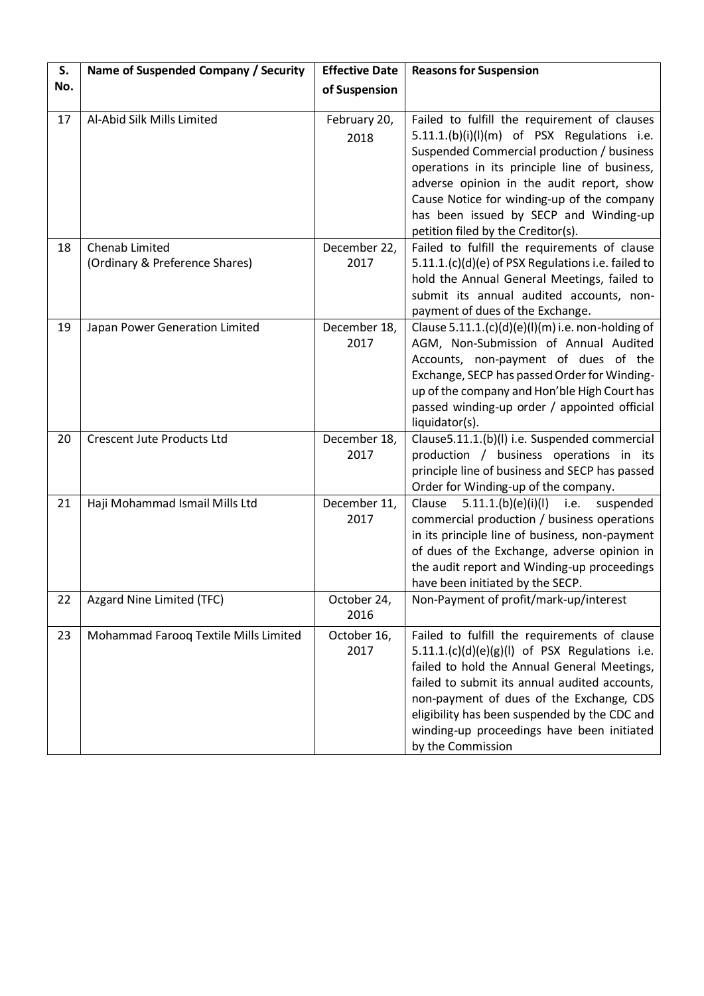| S.  | Name of Suspended Company / Security             | <b>Effective Date</b> | <b>Reasons for Suspension</b>                                                                                                                                                                                                                                                                                                                                            |
|-----|--------------------------------------------------|-----------------------|--------------------------------------------------------------------------------------------------------------------------------------------------------------------------------------------------------------------------------------------------------------------------------------------------------------------------------------------------------------------------|
| No. |                                                  | of Suspension         |                                                                                                                                                                                                                                                                                                                                                                          |
| 17  | Al-Abid Silk Mills Limited                       | February 20,<br>2018  | Failed to fulfill the requirement of clauses<br>$5.11.1.$ (b)(i)(l)(m) of PSX Regulations i.e.<br>Suspended Commercial production / business<br>operations in its principle line of business,<br>adverse opinion in the audit report, show<br>Cause Notice for winding-up of the company<br>has been issued by SECP and Winding-up<br>petition filed by the Creditor(s). |
| 18  | Chenab Limited<br>(Ordinary & Preference Shares) | December 22,<br>2017  | Failed to fulfill the requirements of clause<br>5.11.1.(c)(d)(e) of PSX Regulations i.e. failed to<br>hold the Annual General Meetings, failed to<br>submit its annual audited accounts, non-<br>payment of dues of the Exchange.                                                                                                                                        |
| 19  | Japan Power Generation Limited                   | December 18,<br>2017  | Clause $5.11.1.(c)(d)(e)(l)(m)$ i.e. non-holding of<br>AGM, Non-Submission of Annual Audited<br>Accounts, non-payment of dues of the<br>Exchange, SECP has passed Order for Winding-<br>up of the company and Hon'ble High Court has<br>passed winding-up order / appointed official<br>liquidator(s).                                                                   |
| 20  | <b>Crescent Jute Products Ltd</b>                | December 18,<br>2017  | Clause5.11.1.(b)(l) i.e. Suspended commercial<br>production / business operations in its<br>principle line of business and SECP has passed<br>Order for Winding-up of the company.                                                                                                                                                                                       |
| 21  | Haji Mohammad Ismail Mills Ltd                   | December 11,<br>2017  | 5.11.1(b)(e)(i)(l)<br>Clause<br>i.e.<br>suspended<br>commercial production / business operations<br>in its principle line of business, non-payment<br>of dues of the Exchange, adverse opinion in<br>the audit report and Winding-up proceedings<br>have been initiated by the SECP.                                                                                     |
| 22  | Azgard Nine Limited (TFC)                        | October 24,<br>2016   | Non-Payment of profit/mark-up/interest                                                                                                                                                                                                                                                                                                                                   |
| 23  | Mohammad Farooq Textile Mills Limited            | October 16,<br>2017   | Failed to fulfill the requirements of clause<br>$5.11.1.(c)(d)(e)(g)(I)$ of PSX Regulations i.e.<br>failed to hold the Annual General Meetings,<br>failed to submit its annual audited accounts,<br>non-payment of dues of the Exchange, CDS<br>eligibility has been suspended by the CDC and<br>winding-up proceedings have been initiated<br>by the Commission         |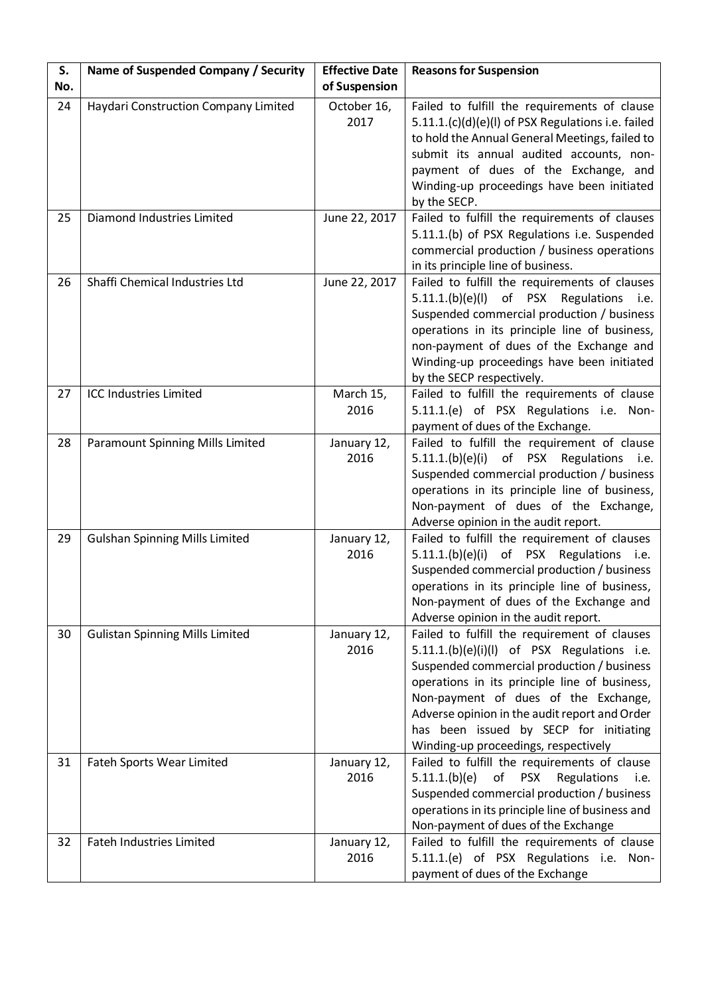| S.  | Name of Suspended Company / Security    | <b>Effective Date</b> | <b>Reasons for Suspension</b>                                                                                                                                                                                                                                                                                                                                         |
|-----|-----------------------------------------|-----------------------|-----------------------------------------------------------------------------------------------------------------------------------------------------------------------------------------------------------------------------------------------------------------------------------------------------------------------------------------------------------------------|
| No. |                                         | of Suspension         |                                                                                                                                                                                                                                                                                                                                                                       |
| 24  | Haydari Construction Company Limited    | October 16,<br>2017   | Failed to fulfill the requirements of clause<br>5.11.1.(c)(d)(e)(l) of PSX Regulations i.e. failed<br>to hold the Annual General Meetings, failed to<br>submit its annual audited accounts, non-<br>payment of dues of the Exchange, and<br>Winding-up proceedings have been initiated<br>by the SECP.                                                                |
| 25  | Diamond Industries Limited              | June 22, 2017         | Failed to fulfill the requirements of clauses<br>5.11.1.(b) of PSX Regulations i.e. Suspended<br>commercial production / business operations<br>in its principle line of business.                                                                                                                                                                                    |
| 26  | Shaffi Chemical Industries Ltd          | June 22, 2017         | Failed to fulfill the requirements of clauses<br>5.11.1(b)(e)(l)<br>of PSX<br>Regulations i.e.<br>Suspended commercial production / business<br>operations in its principle line of business,<br>non-payment of dues of the Exchange and<br>Winding-up proceedings have been initiated<br>by the SECP respectively.                                                   |
| 27  | <b>ICC Industries Limited</b>           | March 15,<br>2016     | Failed to fulfill the requirements of clause<br>5.11.1.(e) of PSX Regulations i.e. Non-<br>payment of dues of the Exchange.                                                                                                                                                                                                                                           |
| 28  | <b>Paramount Spinning Mills Limited</b> | January 12,<br>2016   | Failed to fulfill the requirement of clause<br>of PSX Regulations i.e.<br>5.11.1(b)(e)(i)<br>Suspended commercial production / business<br>operations in its principle line of business,<br>Non-payment of dues of the Exchange,<br>Adverse opinion in the audit report.                                                                                              |
| 29  | <b>Gulshan Spinning Mills Limited</b>   | January 12,<br>2016   | Failed to fulfill the requirement of clauses<br>5.11.1.(b)(e)(i)<br>of PSX Regulations i.e.<br>Suspended commercial production / business<br>operations in its principle line of business,<br>Non-payment of dues of the Exchange and<br>Adverse opinion in the audit report.                                                                                         |
| 30  | <b>Gulistan Spinning Mills Limited</b>  | January 12,<br>2016   | Failed to fulfill the requirement of clauses<br>5.11.1.(b)(e)(i)(l) of PSX Regulations i.e.<br>Suspended commercial production / business<br>operations in its principle line of business,<br>Non-payment of dues of the Exchange,<br>Adverse opinion in the audit report and Order<br>has been issued by SECP for initiating<br>Winding-up proceedings, respectively |
| 31  | Fateh Sports Wear Limited               | January 12,<br>2016   | Failed to fulfill the requirements of clause<br>of<br><b>PSX</b><br>Regulations<br>5.11.1(b)(e)<br>i.e.<br>Suspended commercial production / business<br>operations in its principle line of business and<br>Non-payment of dues of the Exchange                                                                                                                      |
| 32  | <b>Fateh Industries Limited</b>         | January 12,<br>2016   | Failed to fulfill the requirements of clause<br>5.11.1.(e) of PSX Regulations i.e. Non-<br>payment of dues of the Exchange                                                                                                                                                                                                                                            |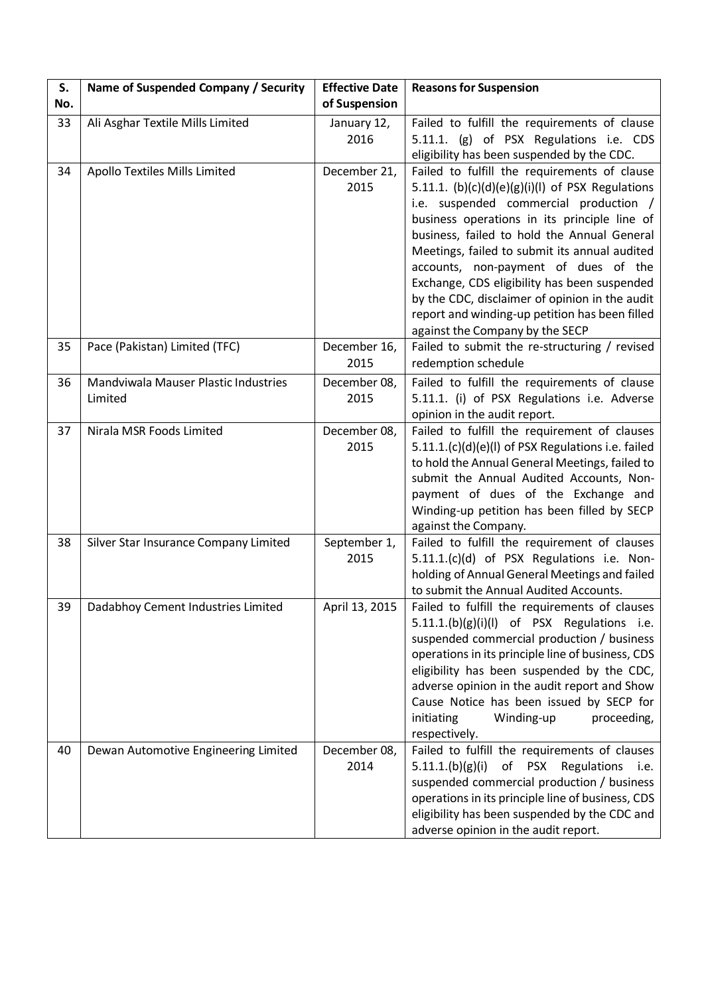| S.<br>No. | Name of Suspended Company / Security            | <b>Effective Date</b><br>of Suspension | <b>Reasons for Suspension</b>                                                                                                                                                                                                                                                                                                                                                                                                                                                                                               |
|-----------|-------------------------------------------------|----------------------------------------|-----------------------------------------------------------------------------------------------------------------------------------------------------------------------------------------------------------------------------------------------------------------------------------------------------------------------------------------------------------------------------------------------------------------------------------------------------------------------------------------------------------------------------|
| 33        | Ali Asghar Textile Mills Limited                | January 12,<br>2016                    | Failed to fulfill the requirements of clause<br>5.11.1. (g) of PSX Regulations i.e. CDS<br>eligibility has been suspended by the CDC.                                                                                                                                                                                                                                                                                                                                                                                       |
| 34        | Apollo Textiles Mills Limited                   | December 21,<br>2015                   | Failed to fulfill the requirements of clause<br>5.11.1. $(b)(c)(d)(e)(g)(i)(l)$ of PSX Regulations<br>i.e. suspended commercial production /<br>business operations in its principle line of<br>business, failed to hold the Annual General<br>Meetings, failed to submit its annual audited<br>accounts, non-payment of dues of the<br>Exchange, CDS eligibility has been suspended<br>by the CDC, disclaimer of opinion in the audit<br>report and winding-up petition has been filled<br>against the Company by the SECP |
| 35        | Pace (Pakistan) Limited (TFC)                   | December 16,<br>2015                   | Failed to submit the re-structuring / revised<br>redemption schedule                                                                                                                                                                                                                                                                                                                                                                                                                                                        |
| 36        | Mandviwala Mauser Plastic Industries<br>Limited | December 08,<br>2015                   | Failed to fulfill the requirements of clause<br>5.11.1. (i) of PSX Regulations i.e. Adverse<br>opinion in the audit report.                                                                                                                                                                                                                                                                                                                                                                                                 |
| 37        | Nirala MSR Foods Limited                        | December 08,<br>2015                   | Failed to fulfill the requirement of clauses<br>5.11.1.(c)(d)(e)(l) of PSX Regulations i.e. failed<br>to hold the Annual General Meetings, failed to<br>submit the Annual Audited Accounts, Non-<br>payment of dues of the Exchange and<br>Winding-up petition has been filled by SECP<br>against the Company.                                                                                                                                                                                                              |
| 38        | Silver Star Insurance Company Limited           | September 1,<br>2015                   | Failed to fulfill the requirement of clauses<br>5.11.1.(c)(d) of PSX Regulations i.e. Non-<br>holding of Annual General Meetings and failed<br>to submit the Annual Audited Accounts.                                                                                                                                                                                                                                                                                                                                       |
| 39        | Dadabhoy Cement Industries Limited              | April 13, 2015                         | Failed to fulfill the requirements of clauses<br>$5.11.1(b)(g)(i)(l)$ of PSX Regulations i.e.<br>suspended commercial production / business<br>operations in its principle line of business, CDS<br>eligibility has been suspended by the CDC,<br>adverse opinion in the audit report and Show<br>Cause Notice has been issued by SECP for<br>initiating<br>Winding-up<br>proceeding,<br>respectively.                                                                                                                      |
| 40        | Dewan Automotive Engineering Limited            | December 08,<br>2014                   | Failed to fulfill the requirements of clauses<br>of<br><b>PSX</b><br>Regulations i.e.<br>5.11.1.(b)(g)(i)<br>suspended commercial production / business<br>operations in its principle line of business, CDS<br>eligibility has been suspended by the CDC and<br>adverse opinion in the audit report.                                                                                                                                                                                                                       |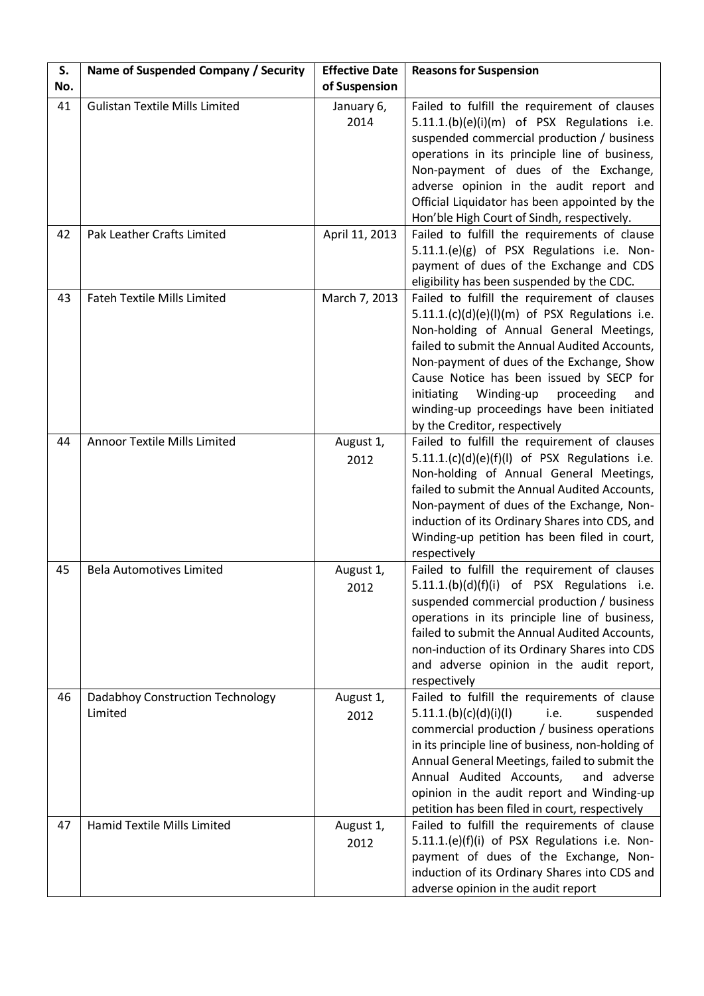| S.  | Name of Suspended Company / Security        | <b>Effective Date</b> | <b>Reasons for Suspension</b>                                                                                                                                                                                                                                                                                                                                                                                         |
|-----|---------------------------------------------|-----------------------|-----------------------------------------------------------------------------------------------------------------------------------------------------------------------------------------------------------------------------------------------------------------------------------------------------------------------------------------------------------------------------------------------------------------------|
| No. |                                             | of Suspension         |                                                                                                                                                                                                                                                                                                                                                                                                                       |
| 41  | <b>Gulistan Textile Mills Limited</b>       | January 6,<br>2014    | Failed to fulfill the requirement of clauses<br>5.11.1.(b)(e)(i)(m) of PSX Regulations i.e.<br>suspended commercial production / business<br>operations in its principle line of business,<br>Non-payment of dues of the Exchange,<br>adverse opinion in the audit report and<br>Official Liquidator has been appointed by the<br>Hon'ble High Court of Sindh, respectively.                                          |
| 42  | Pak Leather Crafts Limited                  | April 11, 2013        | Failed to fulfill the requirements of clause<br>5.11.1.(e)(g) of PSX Regulations i.e. Non-<br>payment of dues of the Exchange and CDS<br>eligibility has been suspended by the CDC.                                                                                                                                                                                                                                   |
| 43  | <b>Fateh Textile Mills Limited</b>          | March 7, 2013         | Failed to fulfill the requirement of clauses<br>$5.11.1.(c)(d)(e)(l)(m)$ of PSX Regulations i.e.<br>Non-holding of Annual General Meetings,<br>failed to submit the Annual Audited Accounts,<br>Non-payment of dues of the Exchange, Show<br>Cause Notice has been issued by SECP for<br>Winding-up<br>initiating<br>proceeding<br>and<br>winding-up proceedings have been initiated<br>by the Creditor, respectively |
| 44  | <b>Annoor Textile Mills Limited</b>         | August 1,<br>2012     | Failed to fulfill the requirement of clauses<br>5.11.1.(c)(d)(e)(f)(l) of PSX Regulations i.e.<br>Non-holding of Annual General Meetings,<br>failed to submit the Annual Audited Accounts,<br>Non-payment of dues of the Exchange, Non-<br>induction of its Ordinary Shares into CDS, and<br>Winding-up petition has been filed in court,<br>respectively                                                             |
| 45  | <b>Bela Automotives Limited</b>             | August 1,<br>2012     | Failed to fulfill the requirement of clauses<br>5.11.1.(b)(d)(f)(i) of PSX Regulations i.e.<br>suspended commercial production / business<br>operations in its principle line of business,<br>failed to submit the Annual Audited Accounts,<br>non-induction of its Ordinary Shares into CDS<br>and adverse opinion in the audit report,<br>respectively                                                              |
| 46  | Dadabhoy Construction Technology<br>Limited | August 1,<br>2012     | Failed to fulfill the requirements of clause<br>5.11.1.(b)(c)(d)(i)(l)<br>suspended<br>i.e.<br>commercial production / business operations<br>in its principle line of business, non-holding of<br>Annual General Meetings, failed to submit the<br>Annual Audited Accounts,<br>and adverse<br>opinion in the audit report and Winding-up<br>petition has been filed in court, respectively                           |
| 47  | Hamid Textile Mills Limited                 | August 1,<br>2012     | Failed to fulfill the requirements of clause<br>5.11.1.(e)(f)(i) of PSX Regulations i.e. Non-<br>payment of dues of the Exchange, Non-<br>induction of its Ordinary Shares into CDS and<br>adverse opinion in the audit report                                                                                                                                                                                        |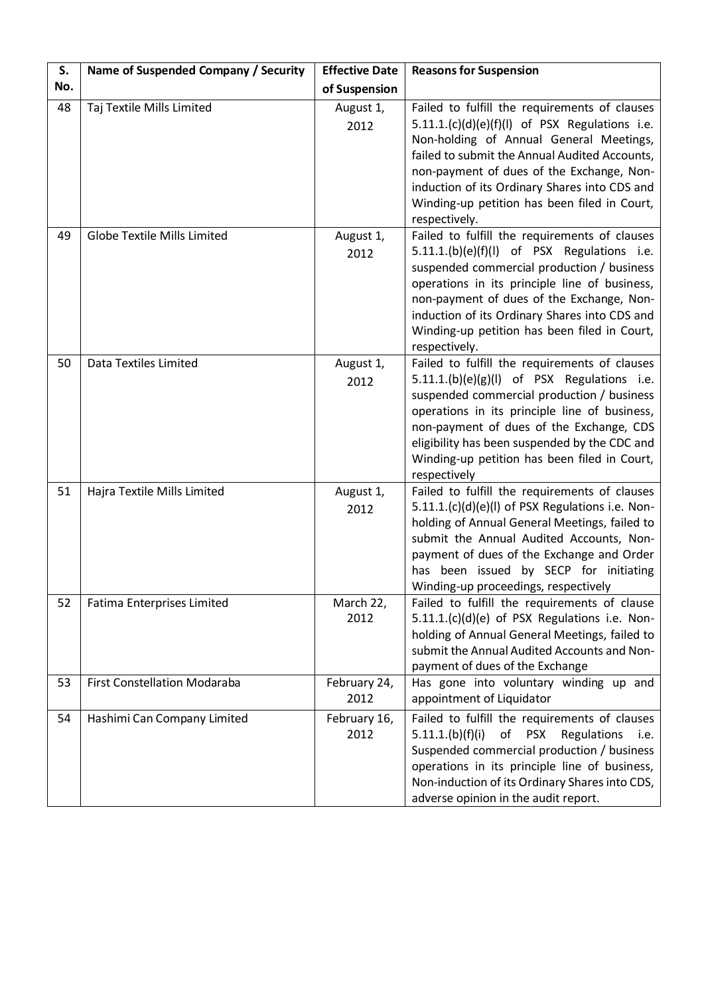| S.<br>No. | Name of Suspended Company / Security | <b>Effective Date</b><br>of Suspension | <b>Reasons for Suspension</b>                                                                                                                                                                                                                                                                                                                                 |
|-----------|--------------------------------------|----------------------------------------|---------------------------------------------------------------------------------------------------------------------------------------------------------------------------------------------------------------------------------------------------------------------------------------------------------------------------------------------------------------|
| 48        | Taj Textile Mills Limited            | August 1,<br>2012                      | Failed to fulfill the requirements of clauses<br>$5.11.1. (c)(d)(e)(f)(l)$ of PSX Regulations i.e.<br>Non-holding of Annual General Meetings,<br>failed to submit the Annual Audited Accounts,<br>non-payment of dues of the Exchange, Non-<br>induction of its Ordinary Shares into CDS and<br>Winding-up petition has been filed in Court,<br>respectively. |
| 49        | <b>Globe Textile Mills Limited</b>   | August 1,<br>2012                      | Failed to fulfill the requirements of clauses<br>5.11.1.(b)(e)(f)(l) of PSX Regulations i.e.<br>suspended commercial production / business<br>operations in its principle line of business,<br>non-payment of dues of the Exchange, Non-<br>induction of its Ordinary Shares into CDS and<br>Winding-up petition has been filed in Court,<br>respectively.    |
| 50        | Data Textiles Limited                | August 1,<br>2012                      | Failed to fulfill the requirements of clauses<br>$5.11.1(b)(e)(g)(I)$ of PSX Regulations i.e.<br>suspended commercial production / business<br>operations in its principle line of business,<br>non-payment of dues of the Exchange, CDS<br>eligibility has been suspended by the CDC and<br>Winding-up petition has been filed in Court,<br>respectively     |
| 51        | Hajra Textile Mills Limited          | August 1,<br>2012                      | Failed to fulfill the requirements of clauses<br>5.11.1.(c)(d)(e)(l) of PSX Regulations i.e. Non-<br>holding of Annual General Meetings, failed to<br>submit the Annual Audited Accounts, Non-<br>payment of dues of the Exchange and Order<br>has been issued by SECP for initiating<br>Winding-up proceedings, respectively                                 |
| 52        | Fatima Enterprises Limited           | March 22,<br>2012                      | Failed to fulfill the requirements of clause<br>5.11.1.(c)(d)(e) of PSX Regulations i.e. Non-<br>holding of Annual General Meetings, failed to<br>submit the Annual Audited Accounts and Non-<br>payment of dues of the Exchange                                                                                                                              |
| 53        | <b>First Constellation Modaraba</b>  | February 24,<br>2012                   | Has gone into voluntary winding up and<br>appointment of Liquidator                                                                                                                                                                                                                                                                                           |
| 54        | Hashimi Can Company Limited          | February 16,<br>2012                   | Failed to fulfill the requirements of clauses<br>of PSX<br>Regulations<br>5.11.1.(b)(f)(i)<br>i.e.<br>Suspended commercial production / business<br>operations in its principle line of business,<br>Non-induction of its Ordinary Shares into CDS,<br>adverse opinion in the audit report.                                                                   |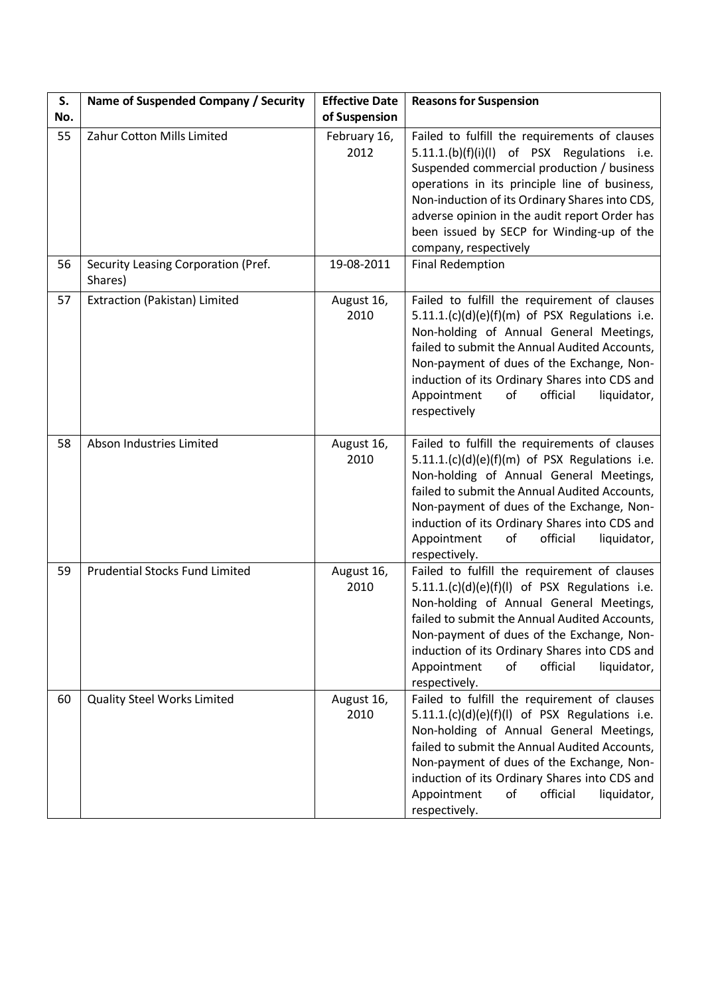| S.<br>No. | Name of Suspended Company / Security           | <b>Effective Date</b><br>of Suspension | <b>Reasons for Suspension</b>                                                                                                                                                                                                                                                                                                                                        |
|-----------|------------------------------------------------|----------------------------------------|----------------------------------------------------------------------------------------------------------------------------------------------------------------------------------------------------------------------------------------------------------------------------------------------------------------------------------------------------------------------|
| 55        | Zahur Cotton Mills Limited                     | February 16,<br>2012                   | Failed to fulfill the requirements of clauses<br>5.11.1.(b)(f)(i)(l) of PSX Regulations i.e.<br>Suspended commercial production / business<br>operations in its principle line of business,<br>Non-induction of its Ordinary Shares into CDS,<br>adverse opinion in the audit report Order has<br>been issued by SECP for Winding-up of the<br>company, respectively |
| 56        | Security Leasing Corporation (Pref.<br>Shares) | 19-08-2011                             | <b>Final Redemption</b>                                                                                                                                                                                                                                                                                                                                              |
| 57        | Extraction (Pakistan) Limited                  | August 16,<br>2010                     | Failed to fulfill the requirement of clauses<br>$5.11.1. (c)(d)(e)(f)(m)$ of PSX Regulations i.e.<br>Non-holding of Annual General Meetings,<br>failed to submit the Annual Audited Accounts,<br>Non-payment of dues of the Exchange, Non-<br>induction of its Ordinary Shares into CDS and<br>Appointment<br>of<br>official<br>liquidator,<br>respectively          |
| 58        | Abson Industries Limited                       | August 16,<br>2010                     | Failed to fulfill the requirements of clauses<br>$5.11.1(c)(d)(e)(f)(m)$ of PSX Regulations i.e.<br>Non-holding of Annual General Meetings,<br>failed to submit the Annual Audited Accounts,<br>Non-payment of dues of the Exchange, Non-<br>induction of its Ordinary Shares into CDS and<br>Appointment<br>official<br>liquidator,<br>of<br>respectively.          |
| 59        | <b>Prudential Stocks Fund Limited</b>          | August 16,<br>2010                     | Failed to fulfill the requirement of clauses<br>$5.11.1(c)(d)(e)(f)(l)$ of PSX Regulations i.e.<br>Non-holding of Annual General Meetings,<br>failed to submit the Annual Audited Accounts,<br>Non-payment of dues of the Exchange, Non-<br>induction of its Ordinary Shares into CDS and<br>of<br>official<br>liquidator,<br>Appointment<br>respectively.           |
| 60        | <b>Quality Steel Works Limited</b>             | August 16,<br>2010                     | Failed to fulfill the requirement of clauses<br>$5.11.1. (c)(d)(e)(f)(l)$ of PSX Regulations i.e.<br>Non-holding of Annual General Meetings,<br>failed to submit the Annual Audited Accounts,<br>Non-payment of dues of the Exchange, Non-<br>induction of its Ordinary Shares into CDS and<br>Appointment<br>official<br>liquidator,<br>of<br>respectively.         |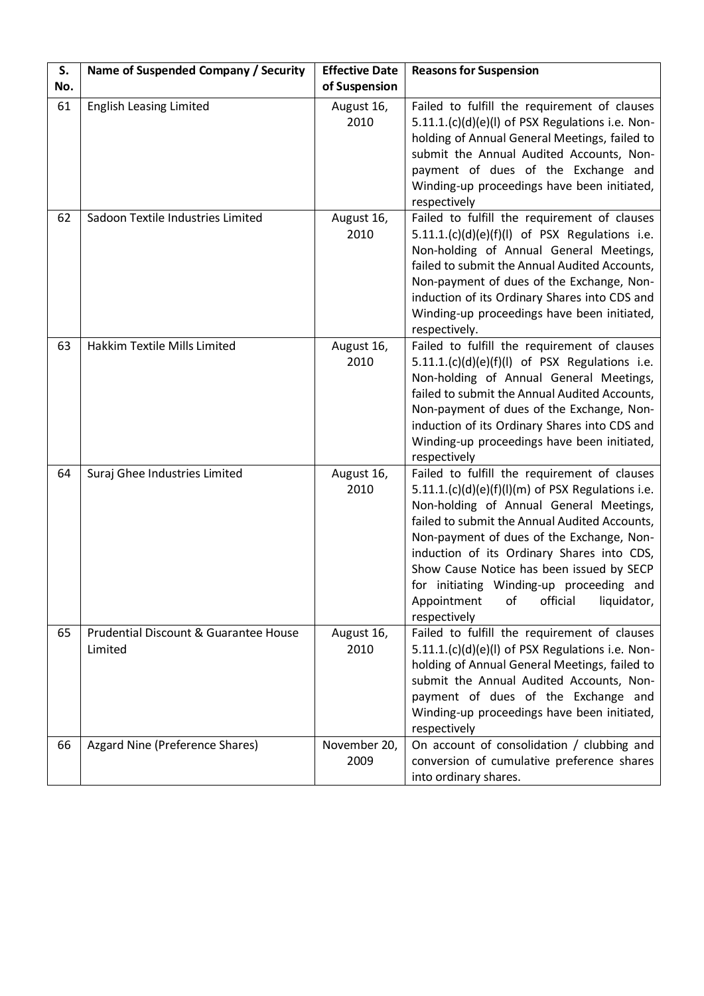| S.  | Name of Suspended Company / Security             | <b>Effective Date</b> | <b>Reasons for Suspension</b>                                                                                                                                                                                                                                                                                                                                                                                                                       |
|-----|--------------------------------------------------|-----------------------|-----------------------------------------------------------------------------------------------------------------------------------------------------------------------------------------------------------------------------------------------------------------------------------------------------------------------------------------------------------------------------------------------------------------------------------------------------|
| No. |                                                  | of Suspension         |                                                                                                                                                                                                                                                                                                                                                                                                                                                     |
| 61  | <b>English Leasing Limited</b>                   | August 16,<br>2010    | Failed to fulfill the requirement of clauses<br>5.11.1.(c)(d)(e)(l) of PSX Regulations i.e. Non-<br>holding of Annual General Meetings, failed to<br>submit the Annual Audited Accounts, Non-<br>payment of dues of the Exchange and<br>Winding-up proceedings have been initiated,<br>respectively                                                                                                                                                 |
| 62  | Sadoon Textile Industries Limited                | August 16,<br>2010    | Failed to fulfill the requirement of clauses<br>$5.11.1. (c)(d)(e)(f)(l)$ of PSX Regulations i.e.<br>Non-holding of Annual General Meetings,<br>failed to submit the Annual Audited Accounts,<br>Non-payment of dues of the Exchange, Non-<br>induction of its Ordinary Shares into CDS and<br>Winding-up proceedings have been initiated,<br>respectively.                                                                                         |
| 63  | Hakkim Textile Mills Limited                     | August 16,<br>2010    | Failed to fulfill the requirement of clauses<br>$5.11.1.(c)(d)(e)(f)(l)$ of PSX Regulations i.e.<br>Non-holding of Annual General Meetings,<br>failed to submit the Annual Audited Accounts,<br>Non-payment of dues of the Exchange, Non-<br>induction of its Ordinary Shares into CDS and<br>Winding-up proceedings have been initiated,<br>respectively                                                                                           |
| 64  | Suraj Ghee Industries Limited                    | August 16,<br>2010    | Failed to fulfill the requirement of clauses<br>$5.11.1.(c)(d)(e)(f)(l)(m)$ of PSX Regulations i.e.<br>Non-holding of Annual General Meetings,<br>failed to submit the Annual Audited Accounts,<br>Non-payment of dues of the Exchange, Non-<br>induction of its Ordinary Shares into CDS,<br>Show Cause Notice has been issued by SECP<br>for initiating Winding-up proceeding and<br>official<br>liquidator,<br>Appointment<br>of<br>respectively |
| 65  | Prudential Discount & Guarantee House<br>Limited | August 16,<br>2010    | Failed to fulfill the requirement of clauses<br>5.11.1.(c)(d)(e)(l) of PSX Regulations i.e. Non-<br>holding of Annual General Meetings, failed to<br>submit the Annual Audited Accounts, Non-<br>payment of dues of the Exchange and<br>Winding-up proceedings have been initiated,<br>respectively                                                                                                                                                 |
| 66  | Azgard Nine (Preference Shares)                  | November 20,<br>2009  | On account of consolidation / clubbing and<br>conversion of cumulative preference shares<br>into ordinary shares.                                                                                                                                                                                                                                                                                                                                   |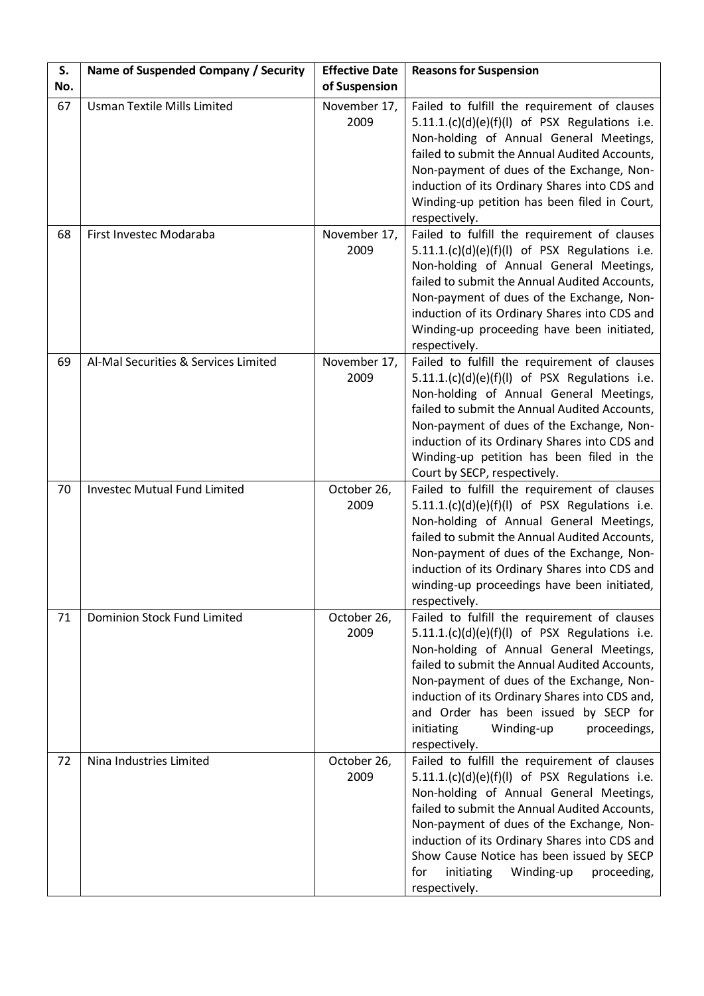| S.<br>No. | Name of Suspended Company / Security | <b>Effective Date</b><br>of Suspension | <b>Reasons for Suspension</b>                                                                                                                                                                                                                                                                                                                                                                            |
|-----------|--------------------------------------|----------------------------------------|----------------------------------------------------------------------------------------------------------------------------------------------------------------------------------------------------------------------------------------------------------------------------------------------------------------------------------------------------------------------------------------------------------|
| 67        | <b>Usman Textile Mills Limited</b>   | November 17,<br>2009                   | Failed to fulfill the requirement of clauses<br>$5.11.1(c)(d)(e)(f)(l)$ of PSX Regulations i.e.<br>Non-holding of Annual General Meetings,<br>failed to submit the Annual Audited Accounts,<br>Non-payment of dues of the Exchange, Non-<br>induction of its Ordinary Shares into CDS and<br>Winding-up petition has been filed in Court,<br>respectively.                                               |
| 68        | First Investec Modaraba              | November 17,<br>2009                   | Failed to fulfill the requirement of clauses<br>$5.11.1. (c)(d)(e)(f)(l)$ of PSX Regulations i.e.<br>Non-holding of Annual General Meetings,<br>failed to submit the Annual Audited Accounts,<br>Non-payment of dues of the Exchange, Non-<br>induction of its Ordinary Shares into CDS and<br>Winding-up proceeding have been initiated,<br>respectively.                                               |
| 69        | Al-Mal Securities & Services Limited | November 17,<br>2009                   | Failed to fulfill the requirement of clauses<br>$5.11.1. (c)(d)(e)(f)(l)$ of PSX Regulations i.e.<br>Non-holding of Annual General Meetings,<br>failed to submit the Annual Audited Accounts,<br>Non-payment of dues of the Exchange, Non-<br>induction of its Ordinary Shares into CDS and<br>Winding-up petition has been filed in the<br>Court by SECP, respectively.                                 |
| 70        | <b>Investec Mutual Fund Limited</b>  | October 26,<br>2009                    | Failed to fulfill the requirement of clauses<br>$5.11.1. (c)(d)(e)(f)(l)$ of PSX Regulations i.e.<br>Non-holding of Annual General Meetings,<br>failed to submit the Annual Audited Accounts,<br>Non-payment of dues of the Exchange, Non-<br>induction of its Ordinary Shares into CDS and<br>winding-up proceedings have been initiated,<br>respectively.                                              |
| 71        | Dominion Stock Fund Limited          | October 26,<br>2009                    | Failed to fulfill the requirement of clauses<br>$5.11.1.(c)(d)(e)(f)(l)$ of PSX Regulations i.e.<br>Non-holding of Annual General Meetings,<br>failed to submit the Annual Audited Accounts,<br>Non-payment of dues of the Exchange, Non-<br>induction of its Ordinary Shares into CDS and,<br>and Order has been issued by SECP for<br>initiating<br>Winding-up<br>proceedings,<br>respectively.        |
| 72        | Nina Industries Limited              | October 26,<br>2009                    | Failed to fulfill the requirement of clauses<br>5.11.1.(c)(d)(e)(f)(l) of PSX Regulations i.e.<br>Non-holding of Annual General Meetings,<br>failed to submit the Annual Audited Accounts,<br>Non-payment of dues of the Exchange, Non-<br>induction of its Ordinary Shares into CDS and<br>Show Cause Notice has been issued by SECP<br>initiating<br>Winding-up<br>proceeding,<br>for<br>respectively. |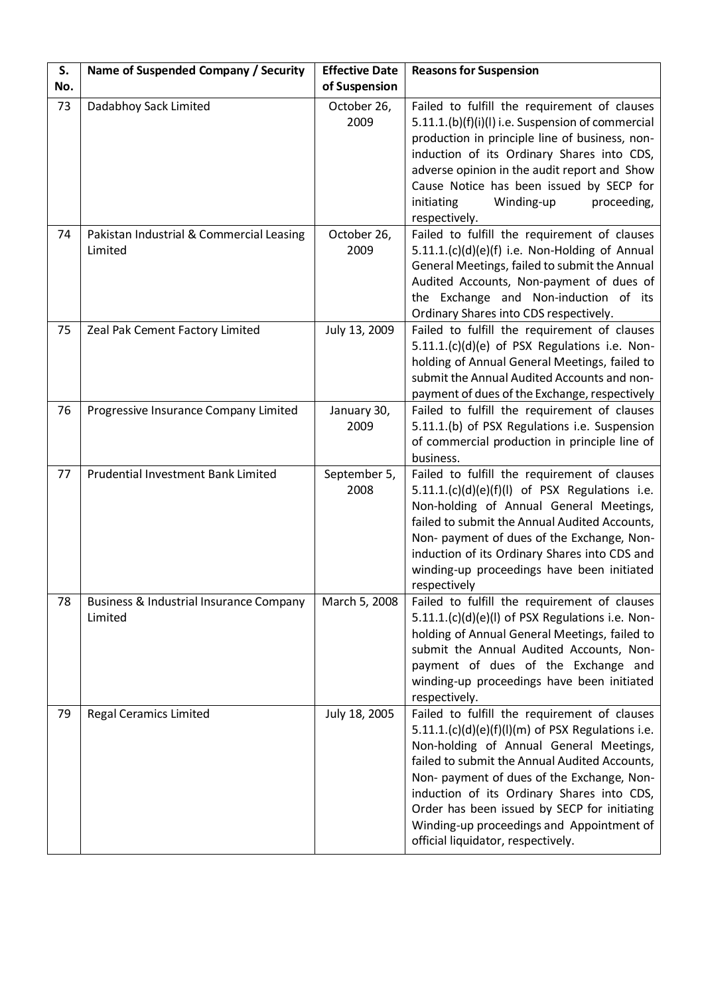| S.<br>No. | Name of Suspended Company / Security                          | <b>Effective Date</b><br>of Suspension | <b>Reasons for Suspension</b>                                                                                                                                                                                                                                                                                                                                                                                                  |
|-----------|---------------------------------------------------------------|----------------------------------------|--------------------------------------------------------------------------------------------------------------------------------------------------------------------------------------------------------------------------------------------------------------------------------------------------------------------------------------------------------------------------------------------------------------------------------|
| 73        | Dadabhoy Sack Limited                                         | October 26,<br>2009                    | Failed to fulfill the requirement of clauses<br>5.11.1.(b)(f)(i)(l) i.e. Suspension of commercial<br>production in principle line of business, non-<br>induction of its Ordinary Shares into CDS,<br>adverse opinion in the audit report and Show<br>Cause Notice has been issued by SECP for<br>Winding-up<br>proceeding,<br>initiating<br>respectively.                                                                      |
| 74        | Pakistan Industrial & Commercial Leasing<br>Limited           | October 26,<br>2009                    | Failed to fulfill the requirement of clauses<br>5.11.1.(c)(d)(e)(f) i.e. Non-Holding of Annual<br>General Meetings, failed to submit the Annual<br>Audited Accounts, Non-payment of dues of<br>the Exchange and Non-induction of its<br>Ordinary Shares into CDS respectively.                                                                                                                                                 |
| 75        | Zeal Pak Cement Factory Limited                               | July 13, 2009                          | Failed to fulfill the requirement of clauses<br>5.11.1.(c)(d)(e) of PSX Regulations i.e. Non-<br>holding of Annual General Meetings, failed to<br>submit the Annual Audited Accounts and non-<br>payment of dues of the Exchange, respectively                                                                                                                                                                                 |
| 76        | Progressive Insurance Company Limited                         | January 30,<br>2009                    | Failed to fulfill the requirement of clauses<br>5.11.1.(b) of PSX Regulations i.e. Suspension<br>of commercial production in principle line of<br>business.                                                                                                                                                                                                                                                                    |
| 77        | Prudential Investment Bank Limited                            | September 5,<br>2008                   | Failed to fulfill the requirement of clauses<br>$5.11.1. (c)(d)(e)(f)(l)$ of PSX Regulations i.e.<br>Non-holding of Annual General Meetings,<br>failed to submit the Annual Audited Accounts,<br>Non- payment of dues of the Exchange, Non-<br>induction of its Ordinary Shares into CDS and<br>winding-up proceedings have been initiated<br>respectively                                                                     |
| 78        | <b>Business &amp; Industrial Insurance Company</b><br>Limited | March 5, 2008                          | Failed to fulfill the requirement of clauses<br>5.11.1.(c)(d)(e)(l) of PSX Regulations i.e. Non-<br>holding of Annual General Meetings, failed to<br>submit the Annual Audited Accounts, Non-<br>payment of dues of the Exchange and<br>winding-up proceedings have been initiated<br>respectively.                                                                                                                            |
| 79        | <b>Regal Ceramics Limited</b>                                 | July 18, 2005                          | Failed to fulfill the requirement of clauses<br>$5.11.1.(c)(d)(e)(f)(l)(m)$ of PSX Regulations i.e.<br>Non-holding of Annual General Meetings,<br>failed to submit the Annual Audited Accounts,<br>Non- payment of dues of the Exchange, Non-<br>induction of its Ordinary Shares into CDS,<br>Order has been issued by SECP for initiating<br>Winding-up proceedings and Appointment of<br>official liquidator, respectively. |